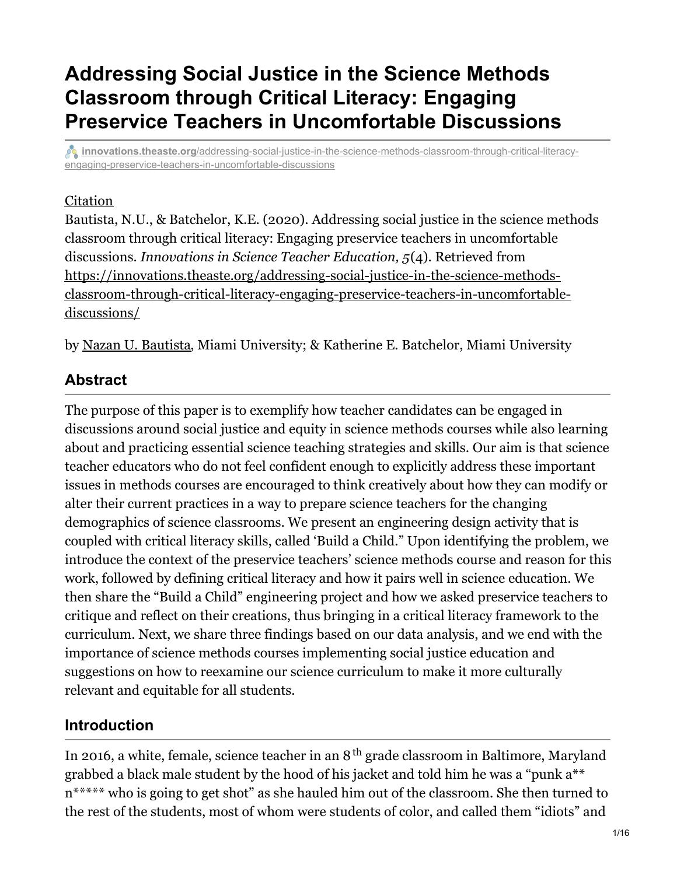# **Addressing Social Justice in the Science Methods Classroom through Critical Literacy: Engaging Preservice Teachers in Uncomfortable Discussions**

*innovations.theaste.org[/addressing-social-justice-in-the-science-methods-classroom-through-critical-literacy](https://innovations.theaste.org/addressing-social-justice-in-the-science-methods-classroom-through-critical-literacy-engaging-preservice-teachers-in-uncomfortable-discussions/?pfstyle=wp)*engaging-preservice-teachers-in-uncomfortable-discussions

### **[Citation](#page-0-0)**

<span id="page-0-0"></span>Bautista, N.U., & Batchelor, K.E. (2020). Addressing social justice in the science methods classroom through critical literacy: Engaging preservice teachers in uncomfortable discussions. *Innovations in Science Teacher Education, 5*(4). Retrieved from https://innovations.theaste.org/addressing-social-justice-in-the-science-methods[classroom-through-critical-literacy-engaging-preservice-teachers-in-uncomfortable](https://innovations.theaste.org/addressing-social-justice-in-the-science-methods-classroom-through-critical-literacy-engaging-preservice-teachers-in-uncomfortable-discussions/)discussions/

by Nazan U. [Bautista](mailto:nubautista@miamioh.edu), Miami University; & Katherine E. Batchelor, Miami University

### **Abstract**

The purpose of this paper is to exemplify how teacher candidates can be engaged in discussions around social justice and equity in science methods courses while also learning about and practicing essential science teaching strategies and skills. Our aim is that science teacher educators who do not feel confident enough to explicitly address these important issues in methods courses are encouraged to think creatively about how they can modify or alter their current practices in a way to prepare science teachers for the changing demographics of science classrooms. We present an engineering design activity that is coupled with critical literacy skills, called 'Build a Child." Upon identifying the problem, we introduce the context of the preservice teachers' science methods course and reason for this work, followed by defining critical literacy and how it pairs well in science education. We then share the "Build a Child" engineering project and how we asked preservice teachers to critique and reflect on their creations, thus bringing in a critical literacy framework to the curriculum. Next, we share three findings based on our data analysis, and we end with the importance of science methods courses implementing social justice education and suggestions on how to reexamine our science curriculum to make it more culturally relevant and equitable for all students.

# **Introduction**

In 2016, a white, female, science teacher in an  $8^{\text{th}}$  grade classroom in Baltimore, Maryland grabbed a black male student by the hood of his jacket and told him he was a "punk a\*\* n\*\*\*\*\* who is going to get shot" as she hauled him out of the classroom. She then turned to the rest of the students, most of whom were students of color, and called them "idiots" and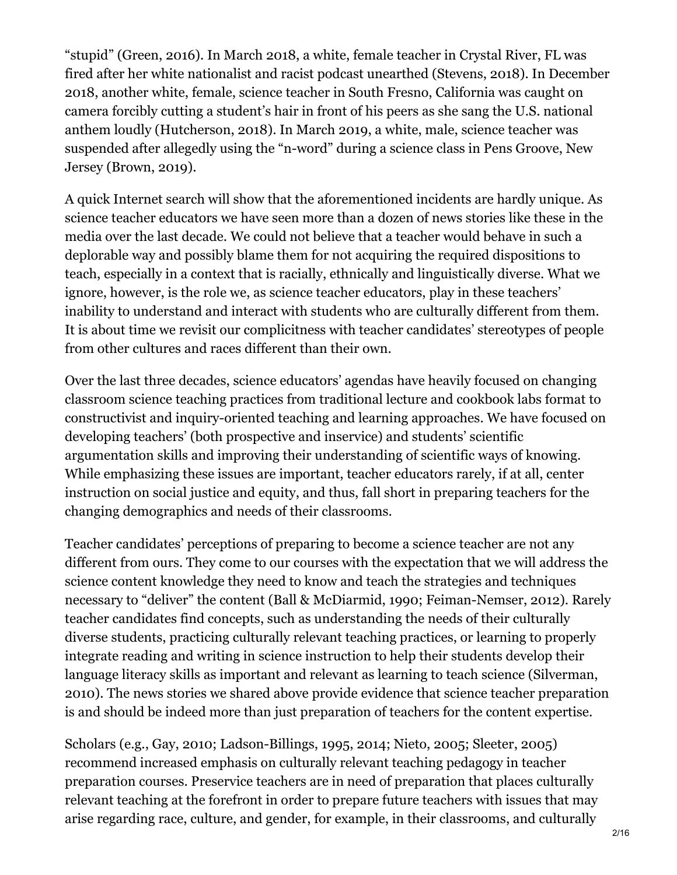"stupid" (Green, 2016). In March 2018, a white, female teacher in Crystal River, FL was fired after her white nationalist and racist podcast unearthed (Stevens, 2018). In December 2018, another white, female, science teacher in South Fresno, California was caught on camera forcibly cutting a student's hair in front of his peers as she sang the U.S. national anthem loudly (Hutcherson, 2018). In March 2019, a white, male, science teacher was suspended after allegedly using the "n-word" during a science class in Pens Groove, New Jersey (Brown, 2019).

A quick Internet search will show that the aforementioned incidents are hardly unique. As science teacher educators we have seen more than a dozen of news stories like these in the media over the last decade. We could not believe that a teacher would behave in such a deplorable way and possibly blame them for not acquiring the required dispositions to teach, especially in a context that is racially, ethnically and linguistically diverse. What we ignore, however, is the role we, as science teacher educators, play in these teachers' inability to understand and interact with students who are culturally different from them. It is about time we revisit our complicitness with teacher candidates' stereotypes of people from other cultures and races different than their own.

Over the last three decades, science educators' agendas have heavily focused on changing classroom science teaching practices from traditional lecture and cookbook labs format to constructivist and inquiry-oriented teaching and learning approaches. We have focused on developing teachers' (both prospective and inservice) and students' scientific argumentation skills and improving their understanding of scientific ways of knowing. While emphasizing these issues are important, teacher educators rarely, if at all, center instruction on social justice and equity, and thus, fall short in preparing teachers for the changing demographics and needs of their classrooms.

Teacher candidates' perceptions of preparing to become a science teacher are not any different from ours. They come to our courses with the expectation that we will address the science content knowledge they need to know and teach the strategies and techniques necessary to "deliver" the content (Ball & McDiarmid, 1990; Feiman-Nemser, 2012). Rarely teacher candidates find concepts, such as understanding the needs of their culturally diverse students, practicing culturally relevant teaching practices, or learning to properly integrate reading and writing in science instruction to help their students develop their language literacy skills as important and relevant as learning to teach science (Silverman, 2010). The news stories we shared above provide evidence that science teacher preparation is and should be indeed more than just preparation of teachers for the content expertise.

Scholars (e.g., Gay, 2010; Ladson-Billings, 1995, 2014; Nieto, 2005; Sleeter, 2005) recommend increased emphasis on culturally relevant teaching pedagogy in teacher preparation courses. Preservice teachers are in need of preparation that places culturally relevant teaching at the forefront in order to prepare future teachers with issues that may arise regarding race, culture, and gender, for example, in their classrooms, and culturally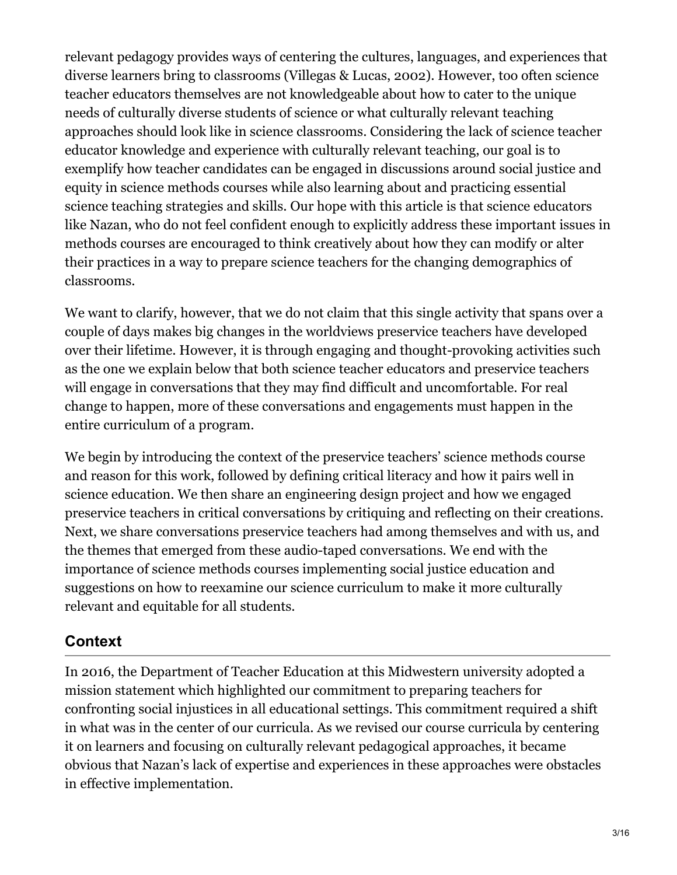relevant pedagogy provides ways of centering the cultures, languages, and experiences that diverse learners bring to classrooms (Villegas & Lucas, 2002). However, too often science teacher educators themselves are not knowledgeable about how to cater to the unique needs of culturally diverse students of science or what culturally relevant teaching approaches should look like in science classrooms. Considering the lack of science teacher educator knowledge and experience with culturally relevant teaching, our goal is to exemplify how teacher candidates can be engaged in discussions around social justice and equity in science methods courses while also learning about and practicing essential science teaching strategies and skills. Our hope with this article is that science educators like Nazan, who do not feel confident enough to explicitly address these important issues in methods courses are encouraged to think creatively about how they can modify or alter their practices in a way to prepare science teachers for the changing demographics of classrooms.

We want to clarify, however, that we do not claim that this single activity that spans over a couple of days makes big changes in the worldviews preservice teachers have developed over their lifetime. However, it is through engaging and thought-provoking activities such as the one we explain below that both science teacher educators and preservice teachers will engage in conversations that they may find difficult and uncomfortable. For real change to happen, more of these conversations and engagements must happen in the entire curriculum of a program.

We begin by introducing the context of the preservice teachers' science methods course and reason for this work, followed by defining critical literacy and how it pairs well in science education. We then share an engineering design project and how we engaged preservice teachers in critical conversations by critiquing and reflecting on their creations. Next, we share conversations preservice teachers had among themselves and with us, and the themes that emerged from these audio-taped conversations. We end with the importance of science methods courses implementing social justice education and suggestions on how to reexamine our science curriculum to make it more culturally relevant and equitable for all students.

# **Context**

In 2016, the Department of Teacher Education at this Midwestern university adopted a mission statement which highlighted our commitment to preparing teachers for confronting social injustices in all educational settings. This commitment required a shift in what was in the center of our curricula. As we revised our course curricula by centering it on learners and focusing on culturally relevant pedagogical approaches, it became obvious that Nazan's lack of expertise and experiences in these approaches were obstacles in effective implementation.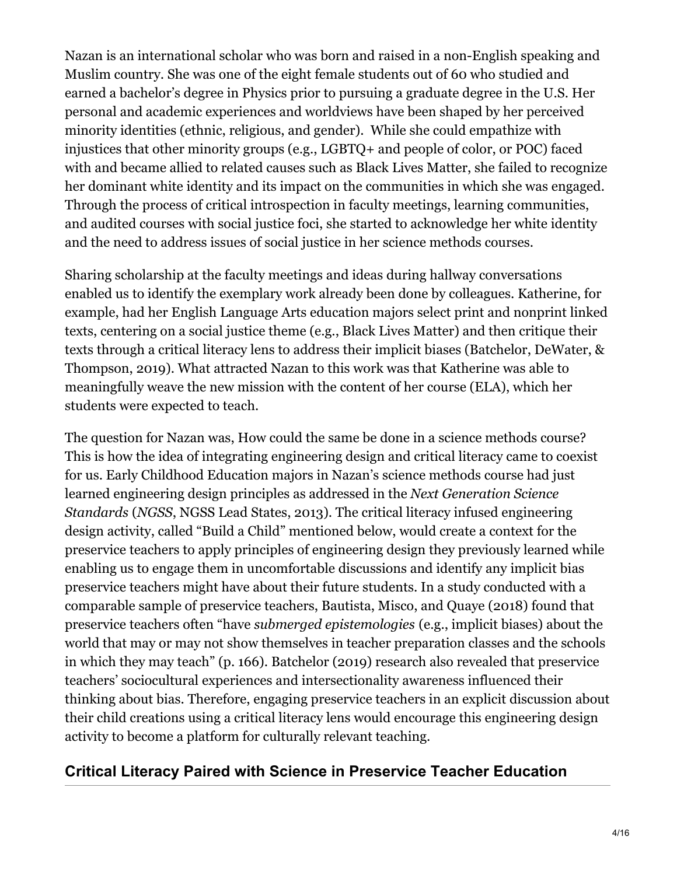Nazan is an international scholar who was born and raised in a non-English speaking and Muslim country. She was one of the eight female students out of 60 who studied and earned a bachelor's degree in Physics prior to pursuing a graduate degree in the U.S. Her personal and academic experiences and worldviews have been shaped by her perceived minority identities (ethnic, religious, and gender). While she could empathize with injustices that other minority groups (e.g., LGBTQ+ and people of color, or POC) faced with and became allied to related causes such as Black Lives Matter, she failed to recognize her dominant white identity and its impact on the communities in which she was engaged. Through the process of critical introspection in faculty meetings, learning communities, and audited courses with social justice foci, she started to acknowledge her white identity and the need to address issues of social justice in her science methods courses.

Sharing scholarship at the faculty meetings and ideas during hallway conversations enabled us to identify the exemplary work already been done by colleagues. Katherine, for example, had her English Language Arts education majors select print and nonprint linked texts, centering on a social justice theme (e.g., Black Lives Matter) and then critique their texts through a critical literacy lens to address their implicit biases (Batchelor, DeWater, & Thompson, 2019). What attracted Nazan to this work was that Katherine was able to meaningfully weave the new mission with the content of her course (ELA), which her students were expected to teach.

The question for Nazan was, How could the same be done in a science methods course? This is how the idea of integrating engineering design and critical literacy came to coexist for us. Early Childhood Education majors in Nazan's science methods course had just learned engineering design principles as addressed in the *Next Generation Science Standards* (*NGSS*, NGSS Lead States, 2013). The critical literacy infused engineering design activity, called "Build a Child" mentioned below, would create a context for the preservice teachers to apply principles of engineering design they previously learned while enabling us to engage them in uncomfortable discussions and identify any implicit bias preservice teachers might have about their future students. In a study conducted with a comparable sample of preservice teachers, Bautista, Misco, and Quaye (2018) found that preservice teachers often "have *submerged epistemologies* (e.g., implicit biases) about the world that may or may not show themselves in teacher preparation classes and the schools in which they may teach" (p. 166). Batchelor (2019) research also revealed that preservice teachers' sociocultural experiences and intersectionality awareness influenced their thinking about bias. Therefore, engaging preservice teachers in an explicit discussion about their child creations using a critical literacy lens would encourage this engineering design activity to become a platform for culturally relevant teaching.

# **Critical Literacy Paired with Science in Preservice Teacher Education**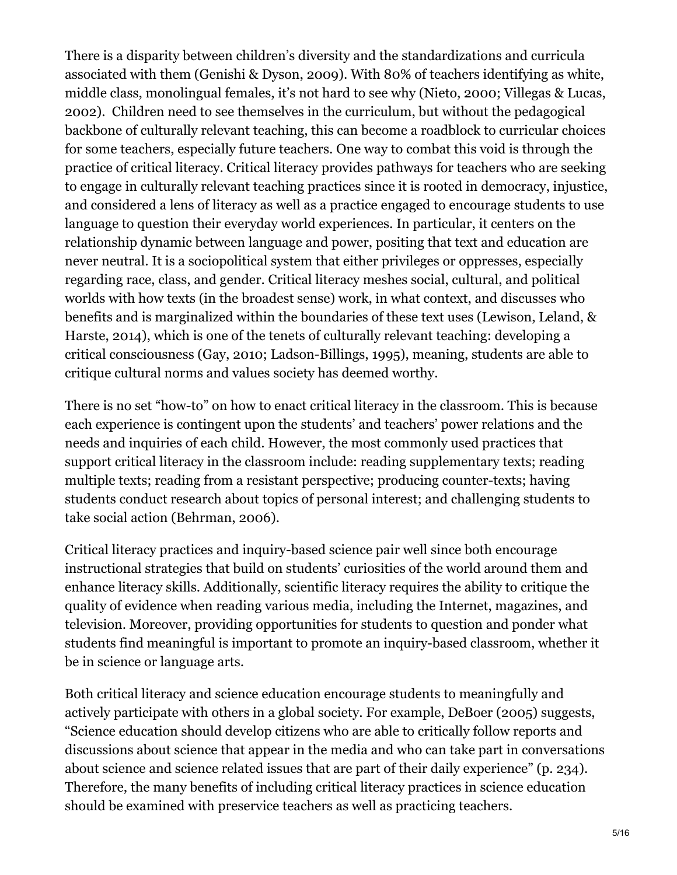There is a disparity between children's diversity and the standardizations and curricula associated with them (Genishi & Dyson, 2009). With 80% of teachers identifying as white, middle class, monolingual females, it's not hard to see why (Nieto, 2000; Villegas & Lucas, 2002). Children need to see themselves in the curriculum, but without the pedagogical backbone of culturally relevant teaching, this can become a roadblock to curricular choices for some teachers, especially future teachers. One way to combat this void is through the practice of critical literacy. Critical literacy provides pathways for teachers who are seeking to engage in culturally relevant teaching practices since it is rooted in democracy, injustice, and considered a lens of literacy as well as a practice engaged to encourage students to use language to question their everyday world experiences. In particular, it centers on the relationship dynamic between language and power, positing that text and education are never neutral. It is a sociopolitical system that either privileges or oppresses, especially regarding race, class, and gender. Critical literacy meshes social, cultural, and political worlds with how texts (in the broadest sense) work, in what context, and discusses who benefits and is marginalized within the boundaries of these text uses (Lewison, Leland, & Harste, 2014), which is one of the tenets of culturally relevant teaching: developing a critical consciousness (Gay, 2010; Ladson-Billings, 1995), meaning, students are able to critique cultural norms and values society has deemed worthy.

There is no set "how-to" on how to enact critical literacy in the classroom. This is because each experience is contingent upon the students' and teachers' power relations and the needs and inquiries of each child. However, the most commonly used practices that support critical literacy in the classroom include: reading supplementary texts; reading multiple texts; reading from a resistant perspective; producing counter-texts; having students conduct research about topics of personal interest; and challenging students to take social action (Behrman, 2006).

Critical literacy practices and inquiry-based science pair well since both encourage instructional strategies that build on students' curiosities of the world around them and enhance literacy skills. Additionally, scientific literacy requires the ability to critique the quality of evidence when reading various media, including the Internet, magazines, and television. Moreover, providing opportunities for students to question and ponder what students find meaningful is important to promote an inquiry-based classroom, whether it be in science or language arts.

Both critical literacy and science education encourage students to meaningfully and actively participate with others in a global society. For example, DeBoer (2005) suggests, "Science education should develop citizens who are able to critically follow reports and discussions about science that appear in the media and who can take part in conversations about science and science related issues that are part of their daily experience" (p. 234). Therefore, the many benefits of including critical literacy practices in science education should be examined with preservice teachers as well as practicing teachers.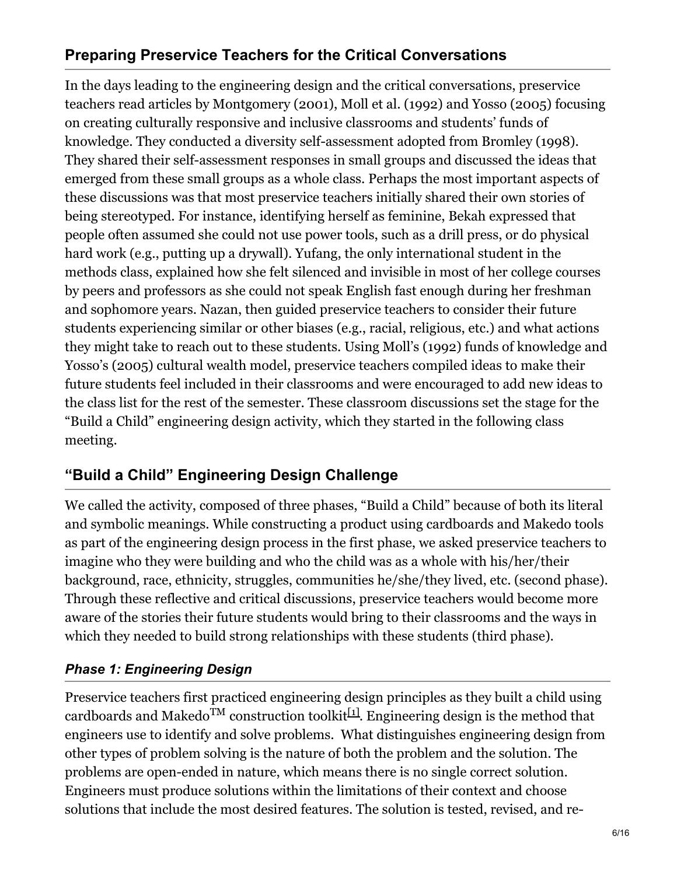# **Preparing Preservice Teachers for the Critical Conversations**

In the days leading to the engineering design and the critical conversations, preservice teachers read articles by Montgomery (2001), Moll et al. (1992) and Yosso (2005) focusing on creating culturally responsive and inclusive classrooms and students' funds of knowledge. They conducted a diversity self-assessment adopted from Bromley (1998). They shared their self-assessment responses in small groups and discussed the ideas that emerged from these small groups as a whole class. Perhaps the most important aspects of these discussions was that most preservice teachers initially shared their own stories of being stereotyped. For instance, identifying herself as feminine, Bekah expressed that people often assumed she could not use power tools, such as a drill press, or do physical hard work (e.g., putting up a drywall). Yufang, the only international student in the methods class, explained how she felt silenced and invisible in most of her college courses by peers and professors as she could not speak English fast enough during her freshman and sophomore years. Nazan, then guided preservice teachers to consider their future students experiencing similar or other biases (e.g., racial, religious, etc.) and what actions they might take to reach out to these students. Using Moll's (1992) funds of knowledge and Yosso's (2005) cultural wealth model, preservice teachers compiled ideas to make their future students feel included in their classrooms and were encouraged to add new ideas to the class list for the rest of the semester. These classroom discussions set the stage for the "Build a Child" engineering design activity, which they started in the following class meeting.

# **"Build a Child" Engineering Design Challenge**

We called the activity, composed of three phases, "Build a Child" because of both its literal and symbolic meanings. While constructing a product using cardboards and Makedo tools as part of the engineering design process in the first phase, we asked preservice teachers to imagine who they were building and who the child was as a whole with his/her/their background, race, ethnicity, struggles, communities he/she/they lived, etc. (second phase). Through these reflective and critical discussions, preservice teachers would become more aware of the stories their future students would bring to their classrooms and the ways in which they needed to build strong relationships with these students (third phase).

### *Phase 1: Engineering Design*

<span id="page-5-0"></span>Preservice teachers first practiced engineering design principles as they built a child using cardboards and Makedo<sup>TM</sup> construction toolkit<sup>[\[1\]](#page-12-0)</sup>. Engineering design is the method that engineers use to identify and solve problems. What distinguishes engineering design from other types of problem solving is the nature of both the problem and the solution. The problems are open-ended in nature, which means there is no single correct solution. Engineers must produce solutions within the limitations of their context and choose solutions that include the most desired features. The solution is tested, revised, and re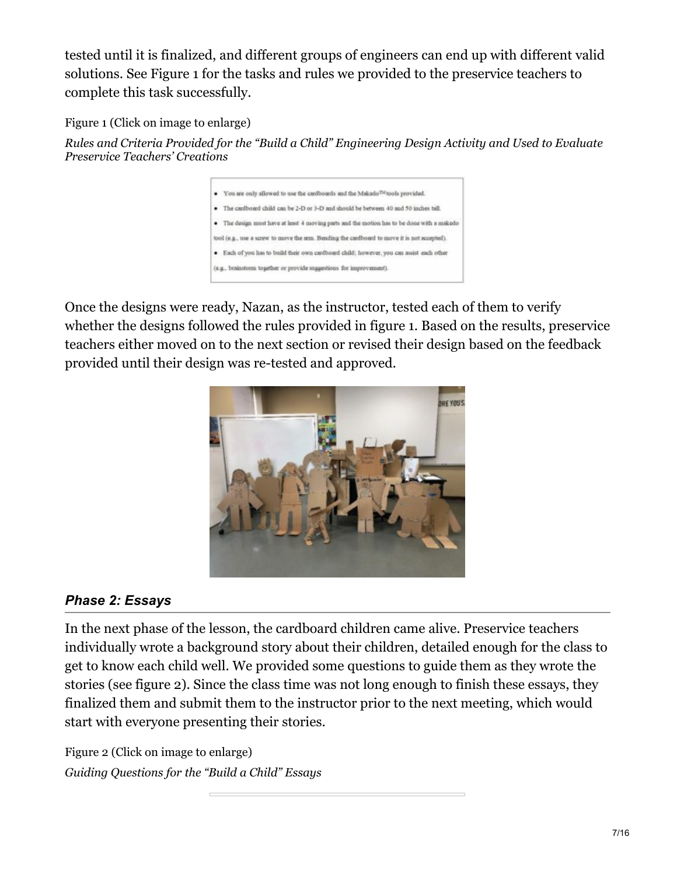tested until it is finalized, and different groups of engineers can end up with different valid solutions. See Figure 1 for the tasks and rules we provided to the preservice teachers to complete this task successfully.

Figure 1 (Click on image to enlarge)

*Rules and Criteria Provided for the "Build a Child" Engineering Design Activity and Used to Evaluate Preservice Teachers' Creations*



Once the designs were ready, Nazan, as the instructor, tested each of them to verify whether the designs followed the rules provided in figure 1. Based on the results, preservice teachers either moved on to the next section or revised their design based on the feedback provided until their design was re-tested and approved.



### *Phase 2: Essays*

In the next phase of the lesson, the cardboard children came alive. Preservice teachers individually wrote a background story about their children, detailed enough for the class to get to know each child well. We provided some questions to guide them as they wrote the stories (see figure 2). Since the class time was not long enough to finish these essays, they finalized them and submit them to the instructor prior to the next meeting, which would start with everyone presenting their stories.

Figure 2 (Click on image to enlarge) *Guiding Questions for the "Build a Child" Essays*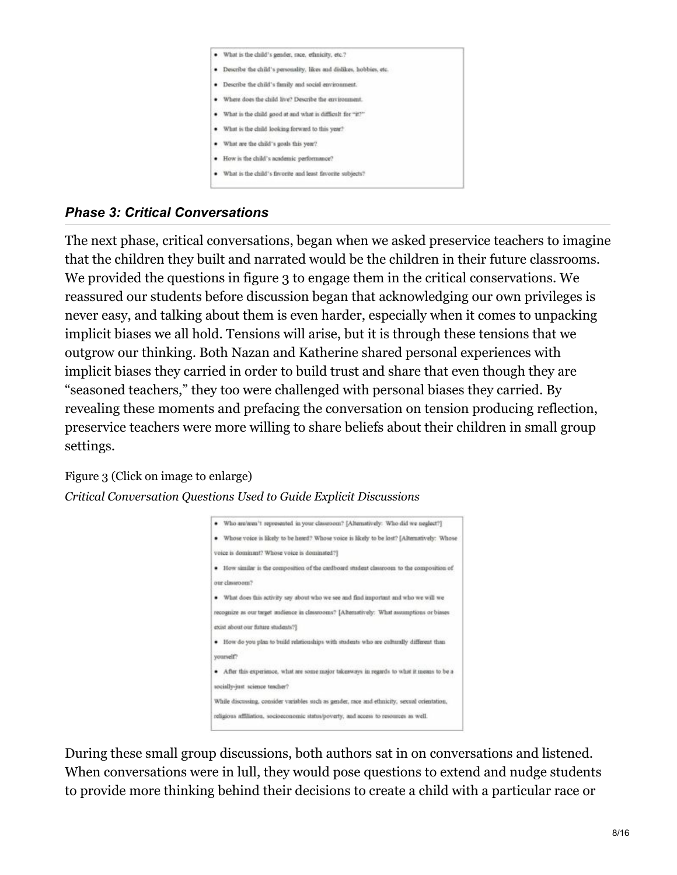

### *Phase 3: Critical Conversations*

The next phase, critical conversations, began when we asked preservice teachers to imagine that the children they built and narrated would be the children in their future classrooms. We provided the questions in figure 3 to engage them in the critical conservations. We reassured our students before discussion began that acknowledging our own privileges is never easy, and talking about them is even harder, especially when it comes to unpacking implicit biases we all hold. Tensions will arise, but it is through these tensions that we outgrow our thinking. Both Nazan and Katherine shared personal experiences with implicit biases they carried in order to build trust and share that even though they are "seasoned teachers," they too were challenged with personal biases they carried. By revealing these moments and prefacing the conversation on tension producing reflection, preservice teachers were more willing to share beliefs about their children in small group settings.

#### Figure 3 (Click on image to enlarge)

#### *Critical Conversation Questions Used to Guide Explicit Discussions*



During these small group discussions, both authors sat in on conversations and listened. When conversations were in lull, they would pose questions to extend and nudge students to provide more thinking behind their decisions to create a child with a particular race or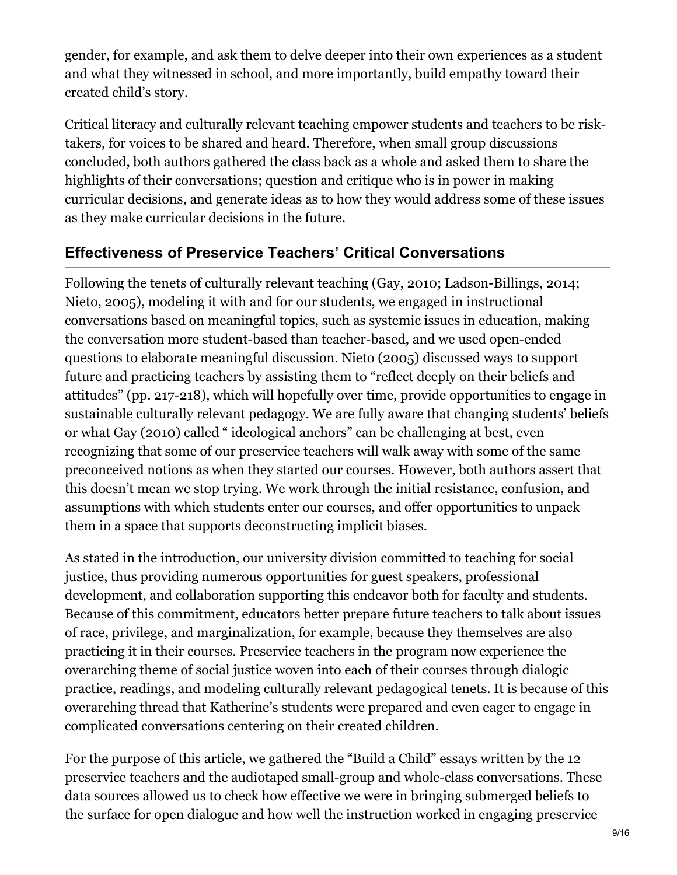gender, for example, and ask them to delve deeper into their own experiences as a student and what they witnessed in school, and more importantly, build empathy toward their created child's story.

Critical literacy and culturally relevant teaching empower students and teachers to be risktakers, for voices to be shared and heard. Therefore, when small group discussions concluded, both authors gathered the class back as a whole and asked them to share the highlights of their conversations; question and critique who is in power in making curricular decisions, and generate ideas as to how they would address some of these issues as they make curricular decisions in the future.

# **Effectiveness of Preservice Teachers' Critical Conversations**

Following the tenets of culturally relevant teaching (Gay, 2010; Ladson-Billings, 2014; Nieto, 2005), modeling it with and for our students, we engaged in instructional conversations based on meaningful topics, such as systemic issues in education, making the conversation more student-based than teacher-based, and we used open-ended questions to elaborate meaningful discussion. Nieto (2005) discussed ways to support future and practicing teachers by assisting them to "reflect deeply on their beliefs and attitudes" (pp. 217-218), which will hopefully over time, provide opportunities to engage in sustainable culturally relevant pedagogy. We are fully aware that changing students' beliefs or what Gay (2010) called " ideological anchors" can be challenging at best, even recognizing that some of our preservice teachers will walk away with some of the same preconceived notions as when they started our courses. However, both authors assert that this doesn't mean we stop trying. We work through the initial resistance, confusion, and assumptions with which students enter our courses, and offer opportunities to unpack them in a space that supports deconstructing implicit biases.

As stated in the introduction, our university division committed to teaching for social justice, thus providing numerous opportunities for guest speakers, professional development, and collaboration supporting this endeavor both for faculty and students. Because of this commitment, educators better prepare future teachers to talk about issues of race, privilege, and marginalization, for example, because they themselves are also practicing it in their courses. Preservice teachers in the program now experience the overarching theme of social justice woven into each of their courses through dialogic practice, readings, and modeling culturally relevant pedagogical tenets. It is because of this overarching thread that Katherine's students were prepared and even eager to engage in complicated conversations centering on their created children.

For the purpose of this article, we gathered the "Build a Child" essays written by the 12 preservice teachers and the audiotaped small-group and whole-class conversations. These data sources allowed us to check how effective we were in bringing submerged beliefs to the surface for open dialogue and how well the instruction worked in engaging preservice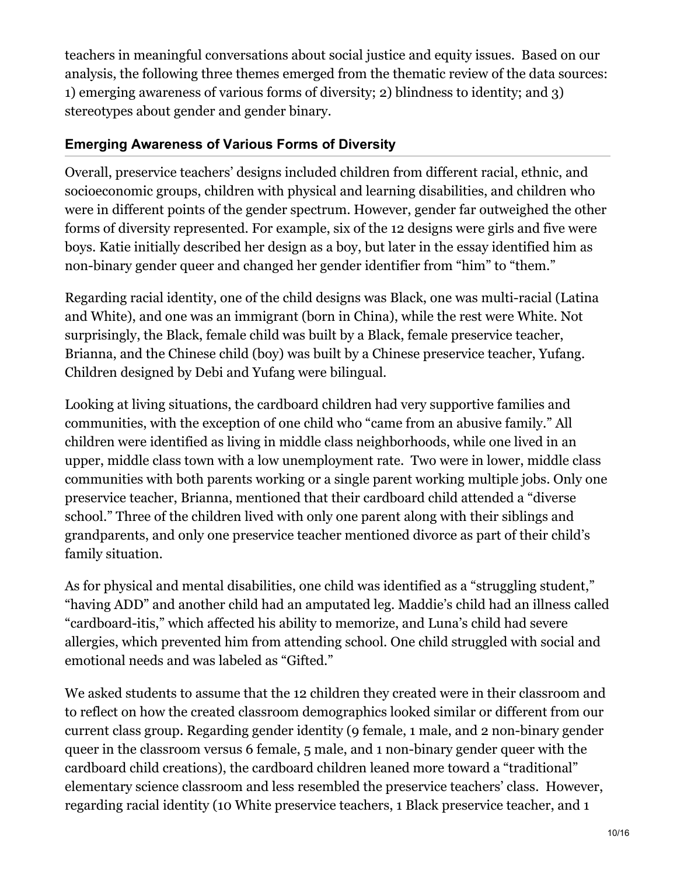teachers in meaningful conversations about social justice and equity issues. Based on our analysis, the following three themes emerged from the thematic review of the data sources: 1) emerging awareness of various forms of diversity; 2) blindness to identity; and 3) stereotypes about gender and gender binary.

### **Emerging Awareness of Various Forms of Diversity**

Overall, preservice teachers' designs included children from different racial, ethnic, and socioeconomic groups, children with physical and learning disabilities, and children who were in different points of the gender spectrum. However, gender far outweighed the other forms of diversity represented. For example, six of the 12 designs were girls and five were boys. Katie initially described her design as a boy, but later in the essay identified him as non-binary gender queer and changed her gender identifier from "him" to "them."

Regarding racial identity, one of the child designs was Black, one was multi-racial (Latina and White), and one was an immigrant (born in China), while the rest were White. Not surprisingly, the Black, female child was built by a Black, female preservice teacher, Brianna, and the Chinese child (boy) was built by a Chinese preservice teacher, Yufang. Children designed by Debi and Yufang were bilingual.

Looking at living situations, the cardboard children had very supportive families and communities, with the exception of one child who "came from an abusive family." All children were identified as living in middle class neighborhoods, while one lived in an upper, middle class town with a low unemployment rate. Two were in lower, middle class communities with both parents working or a single parent working multiple jobs. Only one preservice teacher, Brianna, mentioned that their cardboard child attended a "diverse school." Three of the children lived with only one parent along with their siblings and grandparents, and only one preservice teacher mentioned divorce as part of their child's family situation.

As for physical and mental disabilities, one child was identified as a "struggling student," "having ADD" and another child had an amputated leg. Maddie's child had an illness called "cardboard-itis," which affected his ability to memorize, and Luna's child had severe allergies, which prevented him from attending school. One child struggled with social and emotional needs and was labeled as "Gifted."

We asked students to assume that the 12 children they created were in their classroom and to reflect on how the created classroom demographics looked similar or different from our current class group. Regarding gender identity (9 female, 1 male, and 2 non-binary gender queer in the classroom versus 6 female, 5 male, and 1 non-binary gender queer with the cardboard child creations), the cardboard children leaned more toward a "traditional" elementary science classroom and less resembled the preservice teachers' class. However, regarding racial identity (10 White preservice teachers, 1 Black preservice teacher, and 1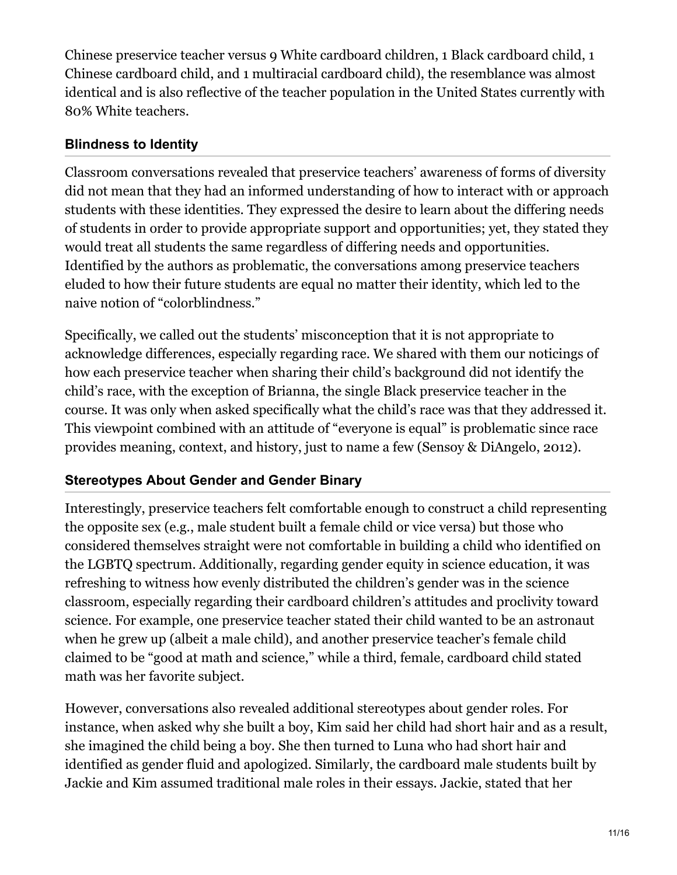Chinese preservice teacher versus 9 White cardboard children, 1 Black cardboard child, 1 Chinese cardboard child, and 1 multiracial cardboard child), the resemblance was almost identical and is also reflective of the teacher population in the United States currently with 80% White teachers.

### **Blindness to Identity**

Classroom conversations revealed that preservice teachers' awareness of forms of diversity did not mean that they had an informed understanding of how to interact with or approach students with these identities. They expressed the desire to learn about the differing needs of students in order to provide appropriate support and opportunities; yet, they stated they would treat all students the same regardless of differing needs and opportunities. Identified by the authors as problematic, the conversations among preservice teachers eluded to how their future students are equal no matter their identity, which led to the naive notion of "colorblindness."

Specifically, we called out the students' misconception that it is not appropriate to acknowledge differences, especially regarding race. We shared with them our noticings of how each preservice teacher when sharing their child's background did not identify the child's race, with the exception of Brianna, the single Black preservice teacher in the course. It was only when asked specifically what the child's race was that they addressed it. This viewpoint combined with an attitude of "everyone is equal" is problematic since race provides meaning, context, and history, just to name a few (Sensoy & DiAngelo, 2012).

### **Stereotypes About Gender and Gender Binary**

Interestingly, preservice teachers felt comfortable enough to construct a child representing the opposite sex (e.g., male student built a female child or vice versa) but those who considered themselves straight were not comfortable in building a child who identified on the LGBTQ spectrum. Additionally, regarding gender equity in science education, it was refreshing to witness how evenly distributed the children's gender was in the science classroom, especially regarding their cardboard children's attitudes and proclivity toward science. For example, one preservice teacher stated their child wanted to be an astronaut when he grew up (albeit a male child), and another preservice teacher's female child claimed to be "good at math and science," while a third, female, cardboard child stated math was her favorite subject.

However, conversations also revealed additional stereotypes about gender roles. For instance, when asked why she built a boy, Kim said her child had short hair and as a result, she imagined the child being a boy. She then turned to Luna who had short hair and identified as gender fluid and apologized. Similarly, the cardboard male students built by Jackie and Kim assumed traditional male roles in their essays. Jackie, stated that her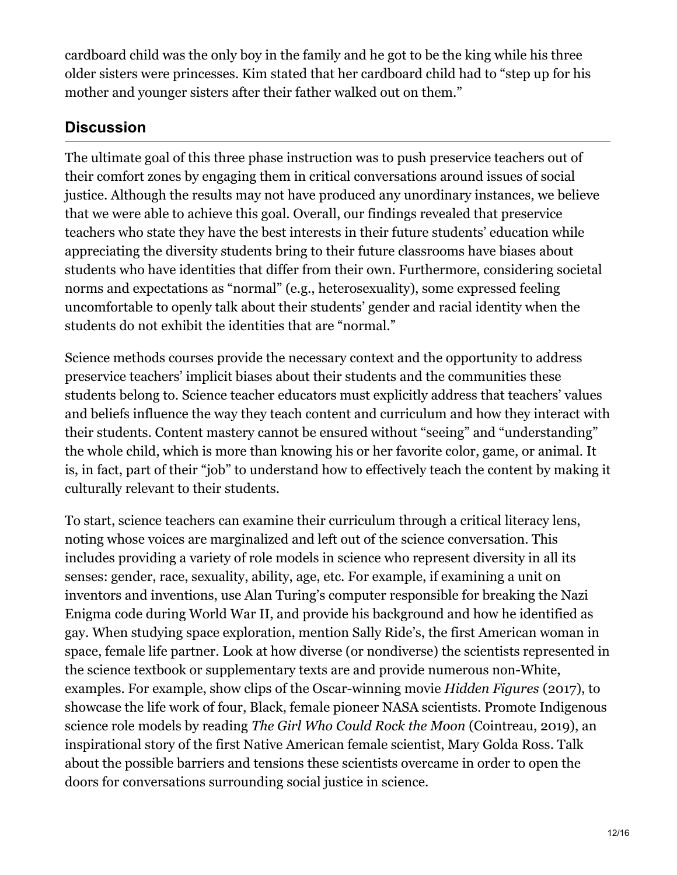cardboard child was the only boy in the family and he got to be the king while his three older sisters were princesses. Kim stated that her cardboard child had to "step up for his mother and younger sisters after their father walked out on them."

# **Discussion**

The ultimate goal of this three phase instruction was to push preservice teachers out of their comfort zones by engaging them in critical conversations around issues of social justice. Although the results may not have produced any unordinary instances, we believe that we were able to achieve this goal. Overall, our findings revealed that preservice teachers who state they have the best interests in their future students' education while appreciating the diversity students bring to their future classrooms have biases about students who have identities that differ from their own. Furthermore, considering societal norms and expectations as "normal" (e.g., heterosexuality), some expressed feeling uncomfortable to openly talk about their students' gender and racial identity when the students do not exhibit the identities that are "normal."

Science methods courses provide the necessary context and the opportunity to address preservice teachers' implicit biases about their students and the communities these students belong to. Science teacher educators must explicitly address that teachers' values and beliefs influence the way they teach content and curriculum and how they interact with their students. Content mastery cannot be ensured without "seeing" and "understanding" the whole child, which is more than knowing his or her favorite color, game, or animal. It is, in fact, part of their "job" to understand how to effectively teach the content by making it culturally relevant to their students.

To start, science teachers can examine their curriculum through a critical literacy lens, noting whose voices are marginalized and left out of the science conversation. This includes providing a variety of role models in science who represent diversity in all its senses: gender, race, sexuality, ability, age, etc. For example, if examining a unit on inventors and inventions, use Alan Turing's computer responsible for breaking the Nazi Enigma code during World War II, and provide his background and how he identified as gay. When studying space exploration, mention Sally Ride's, the first American woman in space, female life partner. Look at how diverse (or nondiverse) the scientists represented in the science textbook or supplementary texts are and provide numerous non-White, examples. For example, show clips of the Oscar-winning movie *Hidden Figures* (2017), to showcase the life work of four, Black, female pioneer NASA scientists. Promote Indigenous science role models by reading *The Girl Who Could Rock the Moon* (Cointreau, 2019), an inspirational story of the first Native American female scientist, Mary Golda Ross. Talk about the possible barriers and tensions these scientists overcame in order to open the doors for conversations surrounding social justice in science.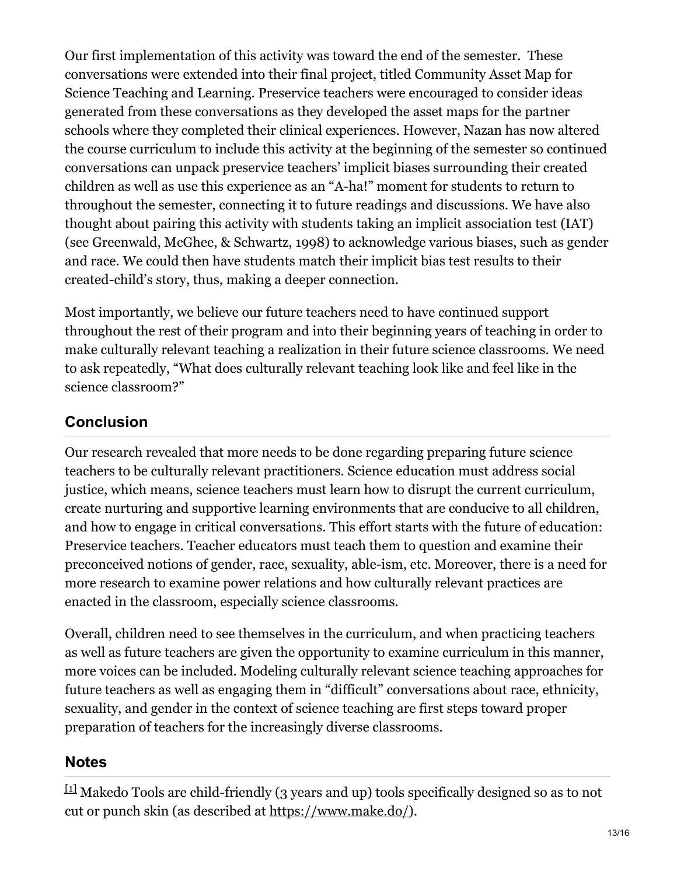Our first implementation of this activity was toward the end of the semester. These conversations were extended into their final project, titled Community Asset Map for Science Teaching and Learning. Preservice teachers were encouraged to consider ideas generated from these conversations as they developed the asset maps for the partner schools where they completed their clinical experiences. However, Nazan has now altered the course curriculum to include this activity at the beginning of the semester so continued conversations can unpack preservice teachers' implicit biases surrounding their created children as well as use this experience as an "A-ha!" moment for students to return to throughout the semester, connecting it to future readings and discussions. We have also thought about pairing this activity with students taking an implicit association test (IAT) (see Greenwald, McGhee, & Schwartz, 1998) to acknowledge various biases, such as gender and race. We could then have students match their implicit bias test results to their created-child's story, thus, making a deeper connection.

Most importantly, we believe our future teachers need to have continued support throughout the rest of their program and into their beginning years of teaching in order to make culturally relevant teaching a realization in their future science classrooms. We need to ask repeatedly, "What does culturally relevant teaching look like and feel like in the science classroom?"

# **Conclusion**

Our research revealed that more needs to be done regarding preparing future science teachers to be culturally relevant practitioners. Science education must address social justice, which means, science teachers must learn how to disrupt the current curriculum, create nurturing and supportive learning environments that are conducive to all children, and how to engage in critical conversations. This effort starts with the future of education: Preservice teachers. Teacher educators must teach them to question and examine their preconceived notions of gender, race, sexuality, able-ism, etc. Moreover, there is a need for more research to examine power relations and how culturally relevant practices are enacted in the classroom, especially science classrooms.

Overall, children need to see themselves in the curriculum, and when practicing teachers as well as future teachers are given the opportunity to examine curriculum in this manner, more voices can be included. Modeling culturally relevant science teaching approaches for future teachers as well as engaging them in "difficult" conversations about race, ethnicity, sexuality, and gender in the context of science teaching are first steps toward proper preparation of teachers for the increasingly diverse classrooms.

# **Notes**

<span id="page-12-0"></span> $^{[11]}$  Makedo Tools are child-friendly (3 years and up) tools specifically designed so as to not cut or punch skin (as described at <https://www.make.do/>).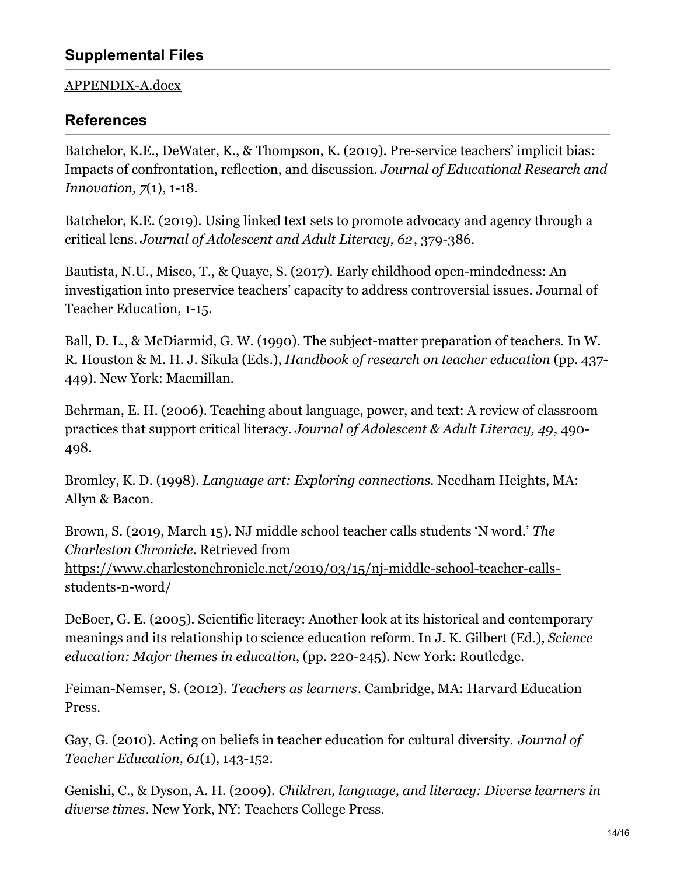#### [APPENDIX-A.docx](https://innovations.theaste.org/wp-content/uploads/sites/11/2020/09/APPENDIX-A.docx)

### **References**

Batchelor, K.E., DeWater, K., & Thompson, K. (2019). Pre-service teachers' implicit bias: Impacts of confrontation, reflection, and discussion. *Journal of Educational Research and Innovation, 7*(1), 1-18.

Batchelor, K.E. (2019). Using linked text sets to promote advocacy and agency through a critical lens. *Journal of Adolescent and Adult Literacy, 62*, 379-386.

Bautista, N.U., Misco, T., & Quaye, S. (2017). Early childhood open-mindedness: An investigation into preservice teachers' capacity to address controversial issues. Journal of Teacher Education, 1-15.

Ball, D. L., & McDiarmid, G. W. (1990). The subject-matter preparation of teachers. In W. R. Houston & M. H. J. Sikula (Eds.), *Handbook of research on teacher education* (pp. 437- 449). New York: Macmillan.

Behrman, E. H. (2006). Teaching about language, power, and text: A review of classroom practices that support critical literacy. *Journal of Adolescent & Adult Literacy, 49*, 490- 498.

Bromley, K. D. (1998). *Language art: Exploring connections.* Needham Heights, MA: Allyn & Bacon.

Brown, S. (2019, March 15). NJ middle school teacher calls students 'N word.' *The Charleston Chronicle.* Retrieved from [https://www.charlestonchronicle.net/2019/03/15/nj-middle-school-teacher-calls](https://www.charlestonchronicle.net/2019/03/15/nj-middle-school-teacher-calls-students-n-word/)students-n-word/

DeBoer, G. E. (2005). Scientific literacy: Another look at its historical and contemporary meanings and its relationship to science education reform. In J. K. Gilbert (Ed.), *Science education: Major themes in education*, (pp. 220-245). New York: Routledge.

Feiman-Nemser, S. (2012). *Teachers as learners*. Cambridge, MA: Harvard Education Press.

Gay, G. (2010). Acting on beliefs in teacher education for cultural diversity. *Journal of Teacher Education, 61*(1), 143-152.

Genishi, C., & Dyson, A. H. (2009). *Children, language, and literacy: Diverse learners in diverse times*. New York, NY: Teachers College Press.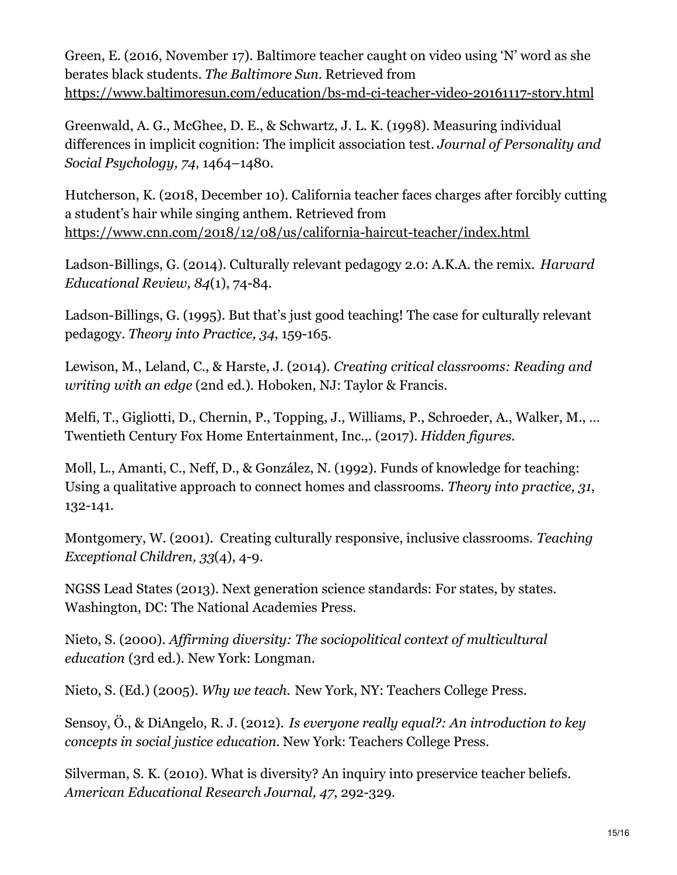Green, E. (2016, November 17). Baltimore teacher caught on video using 'N' word as she berates black students. *The Baltimore Sun.* Retrieved from <https://www.baltimoresun.com/education/bs-md-ci-teacher-video-20161117-story.html>

Greenwald, A. G., McGhee, D. E., & Schwartz, J. L. K. (1998). Measuring individual differences in implicit cognition: The implicit association test. *Journal of Personality and Social Psychology, 74*, 1464–1480.

Hutcherson, K. (2018, December 10). California teacher faces charges after forcibly cutting a student's hair while singing anthem. Retrieved from <https://www.cnn.com/2018/12/08/us/california-haircut-teacher/index.html>

Ladson-Billings, G. (2014). Culturally relevant pedagogy 2.0: A.K.A. the remix. *Harvard Educational Review, 84*(1), 74-84.

Ladson-Billings, G. (1995). But that's just good teaching! The case for culturally relevant pedagogy. *Theory into Practice, 34*, 159-165.

Lewison, M., Leland, C., & Harste, J. (2014). *Creating critical classrooms: Reading and writing with an edge* (2nd ed.). Hoboken, NJ: Taylor & Francis.

Melfi, T., Gigliotti, D., Chernin, P., Topping, J., Williams, P., Schroeder, A., Walker, M., … Twentieth Century Fox Home Entertainment, Inc.,. (2017). *Hidden figures*.

Moll, L., Amanti, C., Neff, D., & González, N. (1992). Funds of knowledge for teaching: Using a qualitative approach to connect homes and classrooms. *Theory into practice, 31*, 132-141.

Montgomery, W. (2001). Creating culturally responsive, inclusive classrooms. *Teaching Exceptional Children, 33*(4), 4-9.

NGSS Lead States (2013). Next generation science standards: For states, by states. Washington, DC: The National Academies Press.

Nieto, S. (2000). *Af irming diversity: The sociopolitical context of multicultural education* (3rd ed.). New York: Longman.

Nieto, S. (Ed.) (2005). *Why we teach.* New York, NY: Teachers College Press.

Sensoy, Ö., & DiAngelo, R. J. (2012). *Is everyone really equal?: An introduction to key concepts in social justice education.* New York: Teachers College Press.

Silverman, S. K. (2010). What is diversity? An inquiry into preservice teacher beliefs. *American Educational Research Journal, 47*, 292-329.